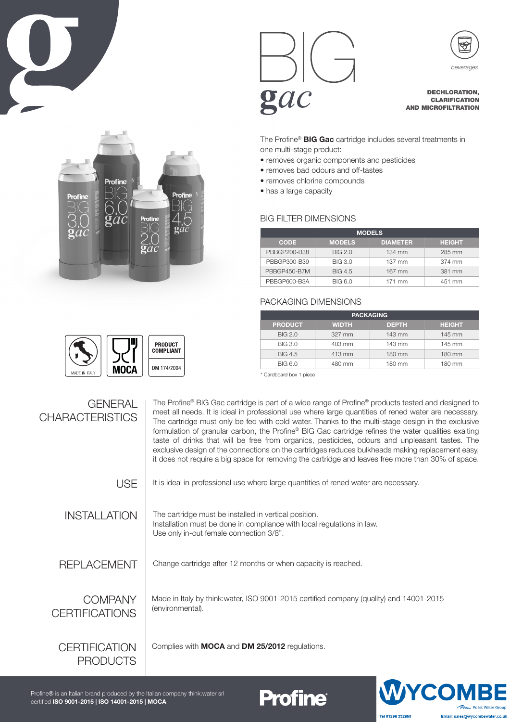





 $\mathbf{g}ac$ 

DECHLORATION, CLARIFICATION AND MICROFILTRATION

The Profine<sup>®</sup> **BIG Gac** cartridge includes several treatments in one multi-stage product:

- removes organic components and pesticides
- removes bad odours and off-tastes
- removes chlorine compounds
- has a large capacity

## BIG FILTER DIMENSIONS

| <b>MODELS</b> |                |                 |               |
|---------------|----------------|-----------------|---------------|
| <b>CODE</b>   | <b>MODELS</b>  | <b>DIAMETER</b> | <b>HEIGHT</b> |
| PBBGP200-B38  | BIG 2.0        | 134 mm          | 285 mm        |
| PBBGP300-B39  | <b>BIG 3.0</b> | 137 mm          | 374 mm        |
| PBBGP450-B7M  | <b>BIG 4.5</b> | 167 mm          | 381 mm        |
| PBBGP600-B3A  | <b>BIG 6.0</b> | 171 mm          | 451 mm        |

## PACKAGING DIMENSIONS

| <b>PACKAGING</b> |                    |              |               |
|------------------|--------------------|--------------|---------------|
| <b>PRODUCT</b>   | <b>WIDTH</b>       | <b>DEPTH</b> | <b>HEIGHT</b> |
| BIG 2.0          | 327 mm             | 143 mm       | 145 mm        |
| BIG 3.0          | $403 \, \text{mm}$ | 143 mm       | 145 mm        |
| <b>BIG 4.5</b>   | 413 mm             | 180 mm       | 180 mm        |
| BIG 6.0          | 480 mm             | 180 mm       | 180 mm        |

\* Cardboard box 1 piece



**Profine®** 



**PRODUCT COMPLIANT** DM 174/2004 **MOCA** 



YCC  $\tau_{\text{max}}$  Pol Tel 01296 332650 Email: sales@wycombewater.co.uk